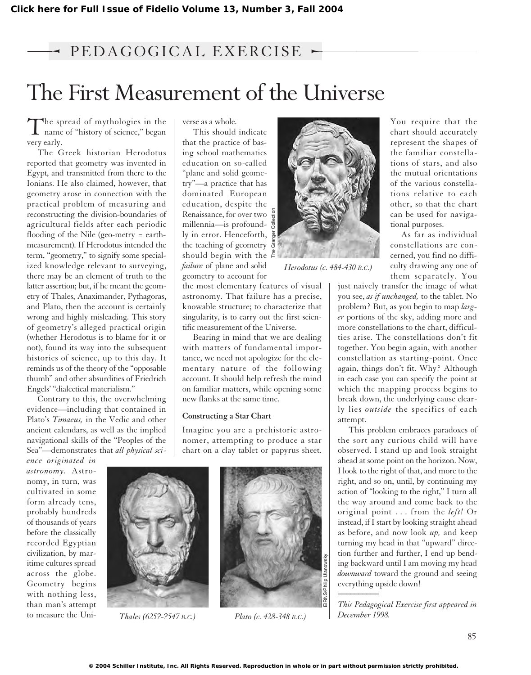## $\rightarrow$  PEDAGOGICAL EXERCISE  $\sim$

## The First Measurement of the Universe

The spread of mythologies in the<br>name of "history of science," began very early.

The Greek historian Herodotus reported that geometry was invented in Egypt, and transmitted from there to the Ionians. He also claimed, however, that geometry arose in connection with the practical problem of measuring and reconstructing the division-boundaries of agricultural fields after each periodic flooding of the Nile (geo-metry = earthmeasurement). If Herodotus intended the term, "geometry," to signify some specialized knowledge relevant to surveying, there may be an element of truth to the latter assertion; but, if he meant the geometry of Thales, Anaximander, Pythagoras, and Plato, then the account is certainly wrong and highly misleading. This story of geometry's alleged practical origin (whether Herodotus is to blame for it or not), found its way into the subsequent histories of science, up to this day. It reminds us of the theory of the "opposable thumb" and other absurdities of Friedrich Engels' "dialectical materialism."

Contrary to this, the overwhelming evidence—including that contained in Plato's *Timaeus,* in the Vedic and other ancient calendars, as well as the implied navigational skills of the "Peoples of the Sea"—demonstrates that *all physical sci-*

*ence originated in astronomy.* Astronomy, in turn, was cultivated in some form already tens, probably hundreds of thousands of years before the classically recorded Egyptian civilization, by maritime cultures spread across the globe. Geometry begins with nothing less, than man's attempt to measure the Universe as a whole.

This should indicate that the practice of basing school mathematics education on so-called "plane and solid geometry"—a practice that has dominated European education, despite the Renaissance, for over two millennia—is profoundly in error. Henceforth, the teaching of geometry should begin with the  $\zeta$ *failure* of plane and solid geometry to account for

the most elementary features of visual astronomy. That failure has a precise, knowable structure; to characterize that singularity, is to carry out the first scientific measurement of the Universe.

Bearing in mind that we are dealing with matters of fundamental importance, we need not apologize for the elementary nature of the following account. It should help refresh the mind on familiar matters, while opening some new flanks at the same time.

## **Constructing a Star Chart**

Imagine you are a prehistoric astronomer, attempting to produce a star chart on a clay tablet or papyrus sheet.



*Thales (625?-?547 B.C.) Plato (c. 428-348 B.C.)*





*Herodotus (c. 484-430 B.C.)*

You require that the chart should accurately represent the shapes of the familiar constellations of stars, and also the mutual orientations of the various constellations relative to each other, so that the chart can be used for navigational purposes.

As far as individual constellations are concerned, you find no difficulty drawing any one of them separately. You

just naively transfer the image of what you see, *as if unchanged,* to the tablet. No problem? But, as you begin to map *larger* portions of the sky, adding more and more constellations to the chart, difficulties arise. The constellations don't fit together. You begin again, with another constellation as starting-point. Once again, things don't fit. Why? Although in each case you can specify the point at which the mapping process begins to break down, the underlying cause clearly lies *outside* the specifics of each attempt.

This problem embraces paradoxes of the sort any curious child will have observed. I stand up and look straight ahead at some point on the horizon. Now, I look to the right of that, and more to the right, and so on, until, by continuing my action of "looking to the right," I turn all the way around and come back to the original point . . . from the *left!* Or instead, if I start by looking straight ahead as before, and now look *up,* and keep turning my head in that "upward" direction further and further, I end up bending backward until I am moving my head *downward* toward the ground and seeing everything upside down! *\_\_\_\_\_\_\_\_\_\_*

*This Pedagogical Exercise first appeared in December 1998.*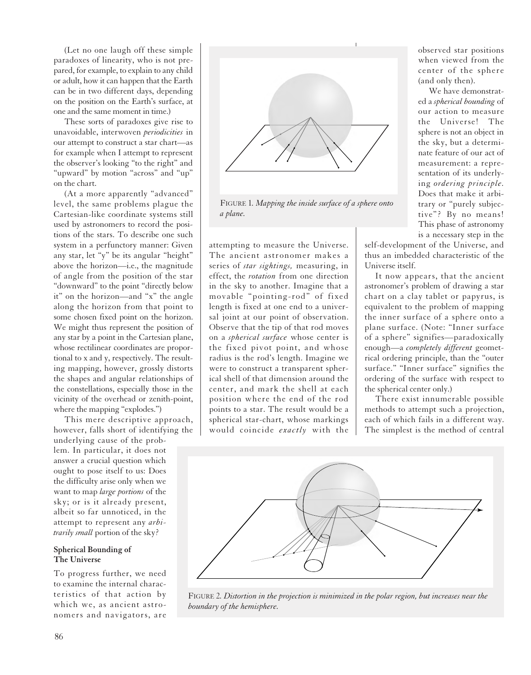(Let no one laugh off these simple paradoxes of linearity, who is not prepared, for example, to explain to any child or adult, how it can happen that the Earth can be in two different days, depending on the position on the Earth's surface, at one and the same moment in time.)

These sorts of paradoxes give rise to unavoidable, interwoven *periodicities* in our attempt to construct a star chart—as for example when I attempt to represent the observer's looking "to the right" and "upward" by motion "across" and "up" on the chart.

(At a more apparently "advanced" level, the same problems plague the Cartesian-like coordinate systems still used by astronomers to record the positions of the stars. To describe one such system in a perfunctory manner: Given any star, let "y" be its angular "height" above the horizon—i.e., the magnitude of angle from the position of the star "downward" to the point "directly below it" on the horizon—and "x" the angle along the horizon from that point to some chosen fixed point on the horizon. We might thus represent the position of any star by a point in the Cartesian plane, whose rectilinear coordinates are proportional to x and y, respectively. The resulting mapping, however, grossly distorts the shapes and angular relationships of the constellations, especially those in the vicinity of the overhead or zenith-point, where the mapping "explodes.")

This mere descriptive approach, however, falls short of identifying the

underlying cause of the problem. In particular, it does not answer a crucial question which ought to pose itself to us: Does the difficulty arise only when we want to map *large portions* of the sky; or is it already present, albeit so far unnoticed, in the attempt to represent any *arbitrarily small* portion of the sky?

## **Spherical Bounding of The Universe**

To progress further, we need to examine the internal characteristics of that action by which we, as ancient astronomers and navigators, are



FIGURE 1*. Mapping the inside surface of a sphere onto a plane.*

attempting to measure the Universe. The ancient astronomer makes a series of *star sightings,* measuring, in effect, the *rotation* from one direction in the sky to another. Imagine that a movable "pointing-rod" of fixed length is fixed at one end to a universal joint at our point of observation. Observe that the tip of that rod moves on a *spherical surface* whose center is the fixed pivot point, and whose radius is the rod's length. Imagine we were to construct a transparent spherical shell of that dimension around the center, and mark the shell at each position where the end of the rod points to a star. The result would be a spherical star-chart, whose markings would coincide *exactly* with the

observed star positions when viewed from the center of the sphere (and only then).

We have demonstrated a *spherical bounding* of our action to measure the Universe! The sphere is not an object in the sky, but a determinate feature of our act of measurement: a representation of its underlying *ordering principle.* Does that make it arbitrary or "purely subjective"? By no means! This phase of astronomy is a necessary step in the

self-development of the Universe, and thus an imbedded characteristic of the Universe itself.

It now appears, that the ancient astronomer's problem of drawing a star chart on a clay tablet or papyrus, is equivalent to the problem of mapping the inner surface of a sphere onto a plane surface. (Note: "Inner surface of a sphere" signifies—paradoxically enough—a *completely different* geometrical ordering principle, than the "outer surface." "Inner surface" signifies the ordering of the surface with respect to the spherical center only.)

There exist innumerable possible methods to attempt such a projection, each of which fails in a different way. The simplest is the method of central



FIGURE 2*. Distortion in the projection is minimized in the polar region, but increases near the boundary of the hemisphere.*